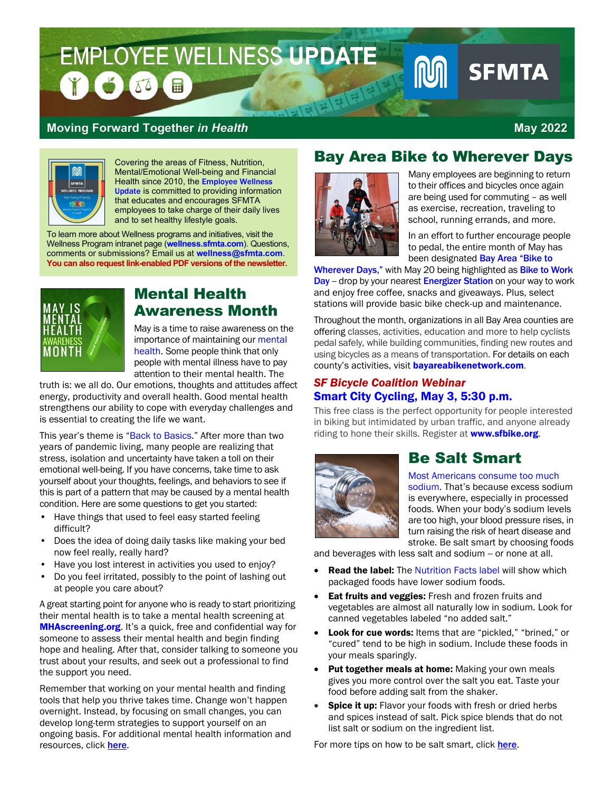# EMPLOYEE WELLNESS UPDATE **SFMTA**  $\blacksquare$

#### **Moving Forward Together** *in Health* **May 2022**



Covering the areas of Fitness, Nutrition, Mental/Emotional Well-being and Financial Health since 2010, the [Employee Wellness](https://sfmta.sharepoint.com/wellness/About%20Us/Employee%20Wellness%20Update.aspx)  [Update](https://sfmta.sharepoint.com/wellness/About%20Us/Employee%20Wellness%20Update.aspx) is committed to providing information that educates and encourages SFMTA employees to take charge of their daily lives and to set healthy lifestyle goals.

To learn more about Wellness programs and initiatives, visit the [Wellness Program](http://inside.sfmta.com:8088/wellness/SitePages/default.aspx) intranet page (**[wellness.sfmta.com](https://sfmta.sharepoint.com/wellness/SitePages/Home.aspx)**). Questions, comments or submissions? Email us at **[wellness@sfmta.com](mailto:wellness@sfmta.com)**. **You can also request link-enabled PDF versions of the newsletter.**



#### Mental Health Awareness Month

May is a time to raise awareness on the importance of maintaining our [mental](https://www.cdc.gov/mentalhealth/learn/index.htm)  [health.](https://www.cdc.gov/mentalhealth/learn/index.htm) Some people think that only people with mental illness have to pay attention to their mental health. The

truth is: we all do. Our emotions, thoughts and attitudes affect energy, productivity and overall health. Good mental health strengthens our ability to cope with everyday challenges and is essential to creating the life we want.

This year's theme is ["Back to Basics.](https://mhanational.org/sites/default/files/MHM%202022%20-%20Back%20to%20Basics%20Drop-In%20Article.pdf)" After more than two years of pandemic living, many people are realizing that stress, isolation and uncertainty have taken a toll on their emotional well-being. If you have concerns, take time to ask yourself about your thoughts, feelings, and behaviors to see if this is part of a pattern that may be caused by a mental health condition. Here are some questions to get you started:

- Have things that used to feel easy started feeling difficult?
- Does the idea of doing daily tasks like making your bed now feel really, really hard?
- Have you lost interest in activities you used to enjoy?
- Do you feel irritated, possibly to the point of lashing out at people you care about?

A great starting point for anyone who is ready to start prioritizing their mental health is to take a mental health screening at [MHAscreening.org](https://screening.mhanational.org/screening-tools/). It's a quick, free and confidential way for someone to assess their mental health and begin finding hope and healing. After that, consider talking to someone you trust about your results, and seek out a professional to find the support you need.

Remember that working on your mental health and finding tools that help you thrive takes time. Change won't happen overnight. Instead, by focusing on small changes, you can develop long-term strategies to support yourself on an ongoing basis[. For additional mental health information and](https://sfhss.org/crediblemind)  [resources, click](https://sfhss.org/crediblemind) here.

### Bay Area Bike to Wherever Days



Many employees are beginning to return to their offices and bicycles once again are being used for commuting – as well as exercise, recreation, traveling to school, running errands, and more.

In an effort to further encourage people to pedal, the entire month of May has been designated Bay Area "Bike to

[Wherever Days,"](https://blog.bayareametro.gov/posts/bay-area-bike-wherever-days-coming-may) with May 20 being highlighted as [Bike to Work](https://bayareabiketowork.com/) [Day](https://bayareabiketowork.com/) - drop by your nearest [Energizer Station](https://bayareabiketowork.com/energizer-stations) on your way to work and enjoy free coffee, snacks and giveaways. Plus, select stations will provide basic bike check-up and maintenance.

Throughout the month, organizations in all Bay Area counties are offering classes, activities, education and more to help cyclists pedal safely, while building communities, finding new routes and using bicycles as a means of transportation. For details on each county's activities, visit **[bayareabikenetwork.com](https://bayareabiketowork.com/)**.

#### *SF Bicycle Coalition Webinar* [Smart City Cycling, May 3, 5:30 p.m.](https://sfbike.org/event/smart-city-cycling-1-classroom/)

This free class is the perfect opportunity for people interested in biking but intimidated by urban traffic, and anyone already riding to hone their skills. Register at [www.sfbike.org](http://www.sfbike.org/).



### Be Salt Smart

Most [Americans consume too much](https://www.heart.org/en/healthy-living/healthy-eating/eat-smart/sodium/effects-of-excess-sodium-infographic)  [sodium.](https://www.heart.org/en/healthy-living/healthy-eating/eat-smart/sodium/effects-of-excess-sodium-infographic) That's because excess sodium is everywhere, especially in processed foods. When your body's sodium levels are too high, your blood pressure rises, in turn raising the risk of heart disease and stroke. Be salt smart by choosing foods

and beverages with less salt and sodium -- or none at all.

- **Read the label:** The [Nutrition Facts label](https://www.fda.gov/NewNutritionFactsLabel) will show which packaged foods have lower sodium foods.
- Eat fruits and veggies: Fresh and frozen fruits and vegetables are almost all naturally low in sodium. Look for canned vegetables labeled "no added salt."
- Look for cue words: Items that are "pickled," "brined," or "cured" tend to be high in sodium. Include these foods in your meals sparingly.
- Put together meals at home: Making your own meals gives you more control over the salt you eat. Taste your food before adding salt from the shaker.
- **Spice it up:** Flavor your foods with fresh or dried herbs and spices instead of salt. Pick spice blends that do not list salt or sodium on the ingredient list.

[For more tips on how to be salt smart,](https://www.myplate.gov/tip-sheet/be-salt-smart) click here.